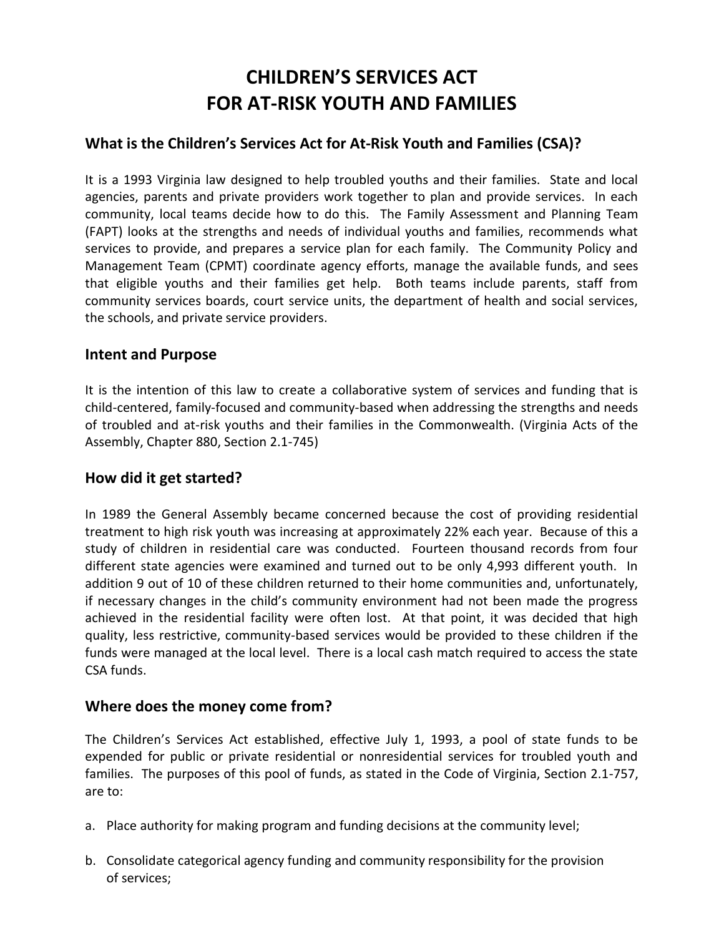# **CHILDREN'S SERVICES ACT FOR AT-RISK YOUTH AND FAMILIES**

## **What is the Children's Services Act for At-Risk Youth and Families (CSA)?**

It is a 1993 Virginia law designed to help troubled youths and their families. State and local agencies, parents and private providers work together to plan and provide services. In each community, local teams decide how to do this. The Family Assessment and Planning Team (FAPT) looks at the strengths and needs of individual youths and families, recommends what services to provide, and prepares a service plan for each family. The Community Policy and Management Team (CPMT) coordinate agency efforts, manage the available funds, and sees that eligible youths and their families get help. Both teams include parents, staff from community services boards, court service units, the department of health and social services, the schools, and private service providers.

### **Intent and Purpose**

It is the intention of this law to create a collaborative system of services and funding that is child-centered, family-focused and community-based when addressing the strengths and needs of troubled and at-risk youths and their families in the Commonwealth. (Virginia Acts of the Assembly, Chapter 880, Section 2.1-745)

#### **How did it get started?**

In 1989 the General Assembly became concerned because the cost of providing residential treatment to high risk youth was increasing at approximately 22% each year. Because of this a study of children in residential care was conducted. Fourteen thousand records from four different state agencies were examined and turned out to be only 4,993 different youth. In addition 9 out of 10 of these children returned to their home communities and, unfortunately, if necessary changes in the child's community environment had not been made the progress achieved in the residential facility were often lost. At that point, it was decided that high quality, less restrictive, community-based services would be provided to these children if the funds were managed at the local level. There is a local cash match required to access the state CSA funds.

#### **Where does the money come from?**

The Children's Services Act established, effective July 1, 1993, a pool of state funds to be expended for public or private residential or nonresidential services for troubled youth and families. The purposes of this pool of funds, as stated in the Code of Virginia, Section 2.1-757, are to:

- a. Place authority for making program and funding decisions at the community level;
- b. Consolidate categorical agency funding and community responsibility for the provision of services;